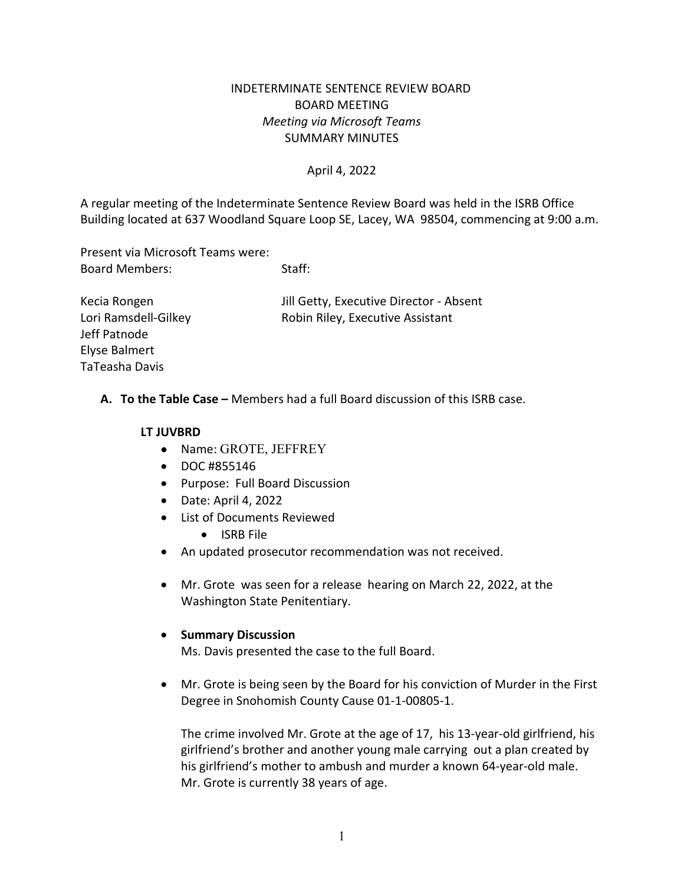# INDETERMINATE SENTENCE REVIEW BOARD BOARD MEETING *Meeting via Microsoft Teams* SUMMARY MINUTES

## April 4, 2022

A regular meeting of the Indeterminate Sentence Review Board was held in the ISRB Office Building located at 637 Woodland Square Loop SE, Lacey, WA 98504, commencing at 9:00 a.m.

Present via Microsoft Teams were: Board Members: Staff:

Kecia Rongen Jill Getty, Executive Director - Absent Lori Ramsdell-Gilkey **Robin Riley, Executive Assistant** 

**A. To the Table Case –** Members had a full Board discussion of this ISRB case.

#### **LT JUVBRD**

Jeff Patnode Elyse Balmert TaTeasha Davis

- Name: GROTE, JEFFREY
- DOC #855146
- Purpose: Full Board Discussion
- Date: April 4, 2022
- List of Documents Reviewed
	- ISRB File
- An updated prosecutor recommendation was not received.
- Mr. Grote was seen for a release hearing on March 22, 2022, at the Washington State Penitentiary.

#### • **Summary Discussion**

Ms. Davis presented the case to the full Board.

• Mr. Grote is being seen by the Board for his conviction of Murder in the First Degree in Snohomish County Cause 01-1-00805-1.

The crime involved Mr. Grote at the age of 17, his 13-year-old girlfriend, his girlfriend's brother and another young male carrying out a plan created by his girlfriend's mother to ambush and murder a known 64-year-old male. Mr. Grote is currently 38 years of age.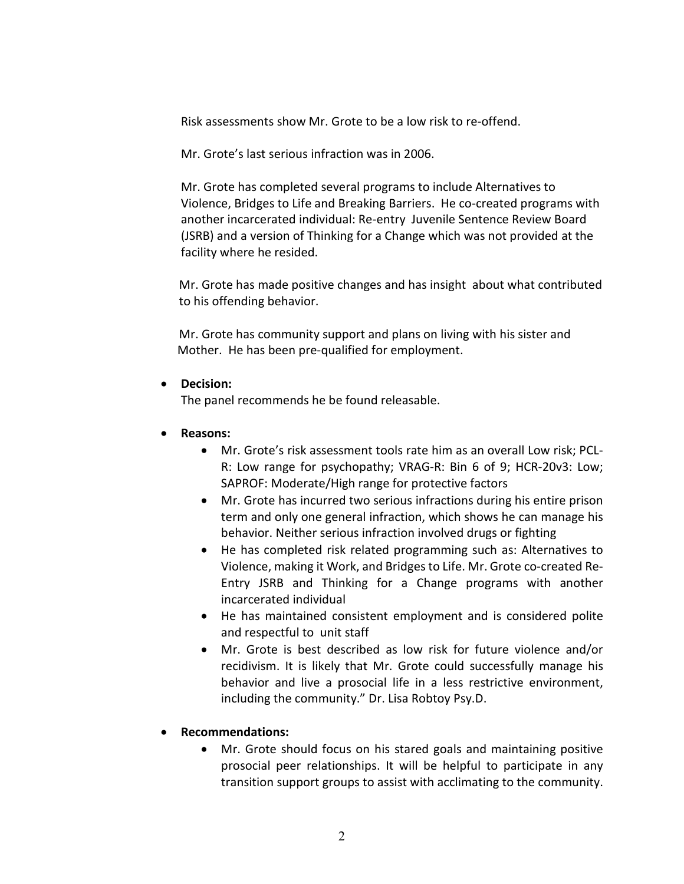Risk assessments show Mr. Grote to be a low risk to re-offend.

Mr. Grote's last serious infraction was in 2006.

Mr. Grote has completed several programs to include Alternatives to Violence, Bridges to Life and Breaking Barriers. He co-created programs with another incarcerated individual: Re-entry Juvenile Sentence Review Board (JSRB) and a version of Thinking for a Change which was not provided at the facility where he resided.

 Mr. Grote has made positive changes and has insight about what contributed to his offending behavior.

 Mr. Grote has community support and plans on living with his sister and Mother. He has been pre-qualified for employment.

### • **Decision:**

The panel recommends he be found releasable.

### • **Reasons:**

- Mr. Grote's risk assessment tools rate him as an overall Low risk; PCL-R: Low range for psychopathy; VRAG-R: Bin 6 of 9; HCR-20v3: Low; SAPROF: Moderate/High range for protective factors
- Mr. Grote has incurred two serious infractions during his entire prison term and only one general infraction, which shows he can manage his behavior. Neither serious infraction involved drugs or fighting
- He has completed risk related programming such as: Alternatives to Violence, making it Work, and Bridges to Life. Mr. Grote co-created Re-Entry JSRB and Thinking for a Change programs with another incarcerated individual
- He has maintained consistent employment and is considered polite and respectful to unit staff
- Mr. Grote is best described as low risk for future violence and/or recidivism. It is likely that Mr. Grote could successfully manage his behavior and live a prosocial life in a less restrictive environment, including the community." Dr. Lisa Robtoy Psy.D.

# • **Recommendations:**

• Mr. Grote should focus on his stared goals and maintaining positive prosocial peer relationships. It will be helpful to participate in any transition support groups to assist with acclimating to the community.